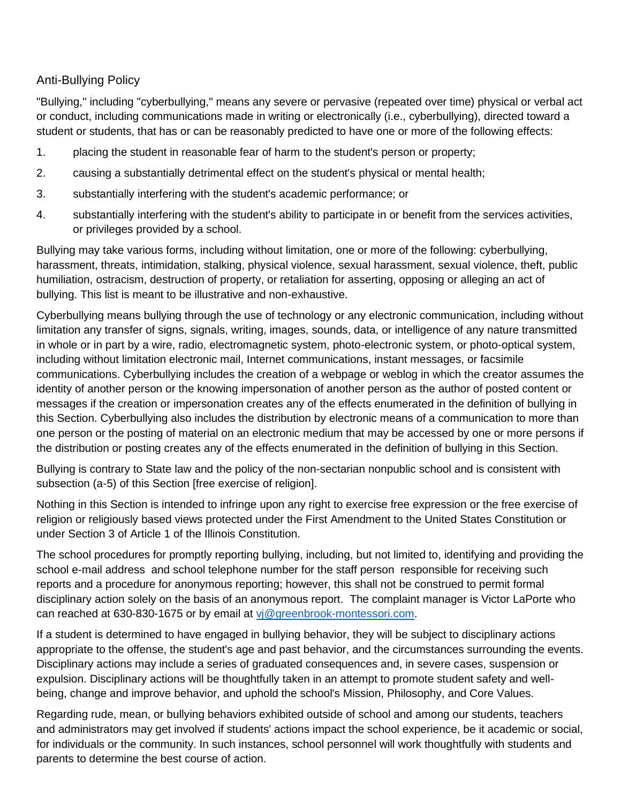## Anti-Bullying Policy

"Bullying," including "cyberbullying," means any severe or pervasive (repeated over time) physical or verbal act or conduct, including communications made in writing or electronically (i.e., cyberbullying), directed toward a student or students, that has or can be reasonably predicted to have one or more of the following effects:

- 1. placing the student in reasonable fear of harm to the student's person or property;
- 2. causing a substantially detrimental effect on the student's physical or mental health;
- 3. substantially interfering with the student's academic performance; or
- 4. substantially interfering with the student's ability to participate in or benefit from the services activities, or privileges provided by a school.

Bullying may take various forms, including without limitation, one or more of the following: cyberbullying, harassment, threats, intimidation, stalking, physical violence, sexual harassment, sexual violence, theft, public humiliation, ostracism, destruction of property, or retaliation for asserting, opposing or alleging an act of bullying. This list is meant to be illustrative and non-exhaustive.

Cyberbullying means bullying through the use of technology or any electronic communication, including without limitation any transfer of signs, signals, writing, images, sounds, data, or intelligence of any nature transmitted in whole or in part by a wire, radio, electromagnetic system, photo-electronic system, or photo-optical system, including without limitation electronic mail, Internet communications, instant messages, or facsimile communications. Cyberbullying includes the creation of a webpage or weblog in which the creator assumes the identity of another person or the knowing impersonation of another person as the author of posted content or messages if the creation or impersonation creates any of the effects enumerated in the definition of bullying in this Section. Cyberbullying also includes the distribution by electronic means of a communication to more than one person or the posting of material on an electronic medium that may be accessed by one or more persons if the distribution or posting creates any of the effects enumerated in the definition of bullying in this Section.

Bullying is contrary to State law and the policy of the non-sectarian nonpublic school and is consistent with subsection (a-5) of this Section [free exercise of religion].

Nothing in this Section is intended to infringe upon any right to exercise free expression or the free exercise of religion or religiously based views protected under the First Amendment to the United States Constitution or under Section 3 of Article 1 of the Illinois Constitution.

The school procedures for promptly reporting bullying, including, but not limited to, identifying and providing the school e-mail address and school telephone number for the staff person responsible for receiving such reports and a procedure for anonymous reporting; however, this shall not be construed to permit formal disciplinary action solely on the basis of an anonymous report. The complaint manager is Victor LaPorte who can reached at 630-830-1675 or by email at vi@greenbrook-montessori.com.

If a student is determined to have engaged in bullying behavior, they will be subject to disciplinary actions appropriate to the offense, the student's age and past behavior, and the circumstances surrounding the events. Disciplinary actions may include a series of graduated consequences and, in severe cases, suspension or expulsion. Disciplinary actions will be thoughtfully taken in an attempt to promote student safety and wellbeing, change and improve behavior, and uphold the school's Mission, Philosophy, and Core Values.

Regarding rude, mean, or bullying behaviors exhibited outside of school and among our students, teachers and administrators may get involved if students' actions impact the school experience, be it academic or social, for individuals or the community. In such instances, school personnel will work thoughtfully with students and parents to determine the best course of action.